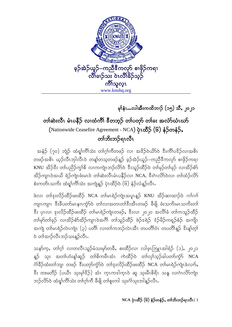

မှၢိနံၤ…လါအီးကထိဘၤဉ် (၁၅) သီ, ၂၀၂၁

## တၢ်ဆဲးလီၤ မံၤပနီဉ် လၢထံကိၢိ ဒီတဘူဉ် တၢ်ပတှာ် တၢ်ခး အလံာ်ယံၤယာ် (Nationwide Ceasefire Agreement - NCA) ပုံၤထိ>်ာ (၆) နံဉ်တနံဉ်, တၢ်ဘိးဘဉ်ရၤလီၤ

အနံ့ဉ် (၇၀) ဘျဲဉ် ထံရှၢ်ကိၢ်သဲး တ၊်ဂ္ဂါကီတဖဉ် လ၊ အဒိဉ်ဝဲယိဉ်ဝဲ ဒီးကိၢ်ပဒိဉ်လ၊အစိၤ တဖဉ်အစိၤ ယ့ဉ်လီၤဘုါလီၤဝဲ တန့္ပ်တသ့တဖဉ်နူဉ် ခ့ဉ်အဲဉ်ယူဉ်–ကညီဒီကလုာ် စၢဖိုဉ်ကရၢ KNU အိဉ်<sup>နွ</sup>း တ၊်ပညိဉ်ကွၢ်စိ လၢကကျဲၤဘဉ်လိ5်ဝဲ ဒီးသူဉ်ထိဉ်ဝဲ တ၊်မှဉ်တ၊်ခုဉ် လၢအိဉ်စံာ် အိဉ်ကျၤဝဲအယိ ရဲဉ်ကျဲၤဖံးမၤဝဲ တၢ်ဆဲးလီၤမံၤပနိဉ်လၢ NCA, ဒီးဂဲၤလိ>်ဝဲလၢ တၢ်ထံဉ်လိ>် စံးကတိၤသကိး ထံရှၢ်ကိၢ်သဲး အကျဲန္β် ပုံၤထီဉ်ဝဲ (၆) နံဉ်လံန္နဉ်လီၤ.

ဖဲလ၊ တၢိဒုးလိဉ်ထိဉ်ဖးထိဉ် NCA တ၊်မၤရဲဉ်ကျဲၤအပူၤန္ဉဉ် KNU အိဉ်ဆ၊ထၢဉ်ဝဲ ဂၢၢ်ဂၢၢ် ကျၤကျၤ းီးခ်ီပတာ်မၤနၢၤကၠံာ်ဝဲ တၤ်လၢအတၤတၢ်ဒီးအီၤတဖဉ် ခီဖျိ ဖံးသကိးမၤသကိးတၤ် းိ ပုၤလ၊ ဒုးလိဉ်ထိဉ်ဖးထိဉ် တၢ်မၤရဲဉ်ကျဲၤတဖဉ်ႇ ဒီးလ၊ ၂၀၂၀ အလိၢ်ခံ တၢ်ကသူဉ်ထိဉ် တၢ်မှာ်တၢ်ခုဉ် လၢအိဉ်စံာ်အိဉ်ကျၤၤဝဲအဂ်ီ၊ တၢ်သူဉ်ထိဉ် ဖဲဉ်ဒရဲဉ် ဒံဉ်မိဉ်ကရှဉ်စံဉ် အကျိုၤ အကျဲ တါမၤရဲဉ်လဲၤကျဲၤ (၃) ပတိၢ် လၢတၢ်ကဘဉ်လဲၤအီၤ တပတိၢ်ဝံၤ တပတိၢ်န္ဉ ိးးန္၊်တ္၊် ၀ဲ တၢ်အၢဉ်လီၤဘဉ်သးန္5်လီၤ.

သနာ်က္မႇ တၢဴဂ္ပ္ပ္ပ္လုံ လၢတထ္မ၊ဘုံခဲ့သူးမွာတခ္မွဳႇ စူးထိုဥလ၊ လျဖ္ပ္လုတ္ပူးအျွံခ်ဥ္ (၁), ၂၀၂၁ န္၆ သုး အတၢ်ဟံးန္၊်ဆူဉ် တၢိစိကမီၤအံၤ ကဲထီဉ်ဝဲ တၢဴလု၊်သူဉ်ခါပတာ်ကွဲာ် NCA င်္ဂါခီဉ်ထံးတါဘျ၊ တဖဉ် ဒီးပတုာ်ကွဲ၁်ဝဲ တါဒုးလိဉ်ထိဉ်ဖးထိဉ် NCA တါမၤရဲဉ်ကျဲၤခဲလၢာ်, ီး တးမတီဉ် (ပယီၤ သုးမုၢိ $\S$ ဉ်) အံၤ ကၤကဒါကၤုဝဲ ဆူ သုးမီၤစိရိၤ သနု လၢဂဲၤလိ>်ကျဲၤ ဘဉ်လိ႒်ဝဲ ထံရှု၊်ကိၢ်သဲး တၢ်ဂ္ဂါကီ ခီဖျိ တၢ်စူးကါ သုးငံ္ဂါသုးဘါန္ဉာ်လီၤ

NCA ပုံၤထိိဉ် (၆) နံဉ်တနံဉ်, တၢ်ဘိးဘဉ်ရၤလီၤ| 1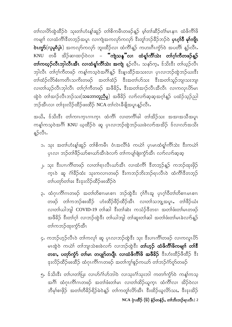တၢ်လၢပိ>်ထွဲထိဉ်ဝဲ သုးတၢ်ဟံးန့ၢ်ဆူဉ် တၢိစိကမိၤတဖဉ်န့ဉ် မ့ၢ်တၢ်ဆိဉ်တံ၊်မၤနၢၤ ထံဖိကိၢိဖိ ကမျုၢ် လၢထံကိ<sup>ုင္</sup>ဒိတဘ့ဉ်အပူၤ လၢကျဲအကလုာ်ကလုာ် <sup>ဒွိႏွ</sup>တ်ုဘဉ်ခိဉ်ဘဉ်ဝဲ **ပုၤဂ္၊်ဝိ မု၊်ကျိုၤ ဲလွှော် (လူမှုစီပွါး**) အကလုာ်ကလုာ် ဘူးထိဉ်လၢ ထံကိၢိန္ဉာ် ကဟးဂီၤက္ခံ၁်ဝဲ အပတိၢ် န္<sub></sub>ဉ်လီၤႉ KNU တခ်ိ အိဉ်ဆၢထၢဉ်ဝဲလၢ – **"ကျဲသန္"လ၊ ထံရှၤ်ကိၤ်သဲး တၢ်ဂ္၊်ကိတဖဉ်န့ဉ်** တၢ်က<mark>ယ္နာ်လီၤဘုါလီၤအီၤ လၢထံရှၢ်ကိၢ်သဲး အက</mark>ျဲ နူဉ်လီၤႉ သနာ်က့ႇ ဒ်သိးဒီး တၢ်ယ္ဉာလီၤ ဘှါလီၤ တၢ်ဂ့ၢ်ကီတဖဉ် ကန့ၢ်ကသ့ဝဲအဂ်ိၢန္ဉာ် ဒိးန္ၤထိဉ်အသးလၢ ပုၤလၢဘဉ်ထွဲဘဉ်ယးဒီး တၢ်ထံဉ်လိ်ာစံးကတိၤသကိးတဖဉ် အတၢ်ထံဉ် ဒီးအတၢ်ဟ်သး ဒီးအတၢ်သူဉ်ဘျ၊သးဘျ၊ လ၊တၢ်ယ္ဉ်လီၤဘုါလီၤ တၢ်ဂ့ၢ်ကီတဖဉ် အဖီခိဉ်ႇ ဒီးအတၢ်အၢဉ်လီၤအီလီၤ လၢကလုၤဟိမၤ ထွဲဝဲ တၢ်အၢဉ်လီၤဘဉ်သး(<mark>သဘောတူညီမှု</mark>) အဖိခိဉ် လ<sup>ှ</sup>ာလ<sup>ှ</sup>သေ့အတ်ရန်ဉ် ပထံဉ်သ့ဉ်ညါ ဘဉ်အီၤလ၊ တၢ်ဒုးလိဉ်ထိဉ်ဖးထိဉ် NCA တၢ်လဲၤခီဖျိအပူၤန္ဉာ်လီၤႉ

အယိ, န်သိးနီး တါကၢၤက္ၤဂၢၤက္ၤ ထံကိ်၊ လၢတကိၢိခါ တၢ်အိဉ်သး အအၢအသိအပူၤ ကန့္ခ်ကသ့ဝဲအဂ်ီ၊ KNU ယ့ထိဉ်ဝဲ ဆူ ပုၤလၢဘဉ်ထွဲဘဉ်ဃးခဲလၢာ်အအိဉ် ဒ်လၢလာ်အသိး န္5လီၤ.

- ၁. သုး အတၢ်ဟံးန့၊်ဆူဉ် တၢိစိကမီၤ ဝံၤအလိၢ်ခံ ကယဲၢ် ပှၤမၤထံရှၢ်ကိၢ်သဲး ဒီးကယဲၢ် ပှၤလၢ ဘဉ်တၢိဖိဉ်ဃာ်စၢဃာ်အီၤခဲလၢာ် တၢ်ကပျ၊်ဖျံးကွံာ်အီၤ လၢာ်လၢာ်ဆ့ဆ့
- ၂. သုး <sup>ဒွို့</sup>ပၢၤကိၢိတဖဉ် လၢတၢ်ရၤလီၤဃာ်အီၤ လၢထံကိၢ် ဒီတဘ့ဉ်နူဉ် ကဘဉ်ထုးဖိုဉ် က္ၤဝဲ ဆူ ဂံၢိခဵဉ်ထံး သုးကလၢၤတဖဉ် ဒီးကဘဉ်ဘိးဘဉ်ရၤလီၤဝဲ ထံကိၢိဒီတဘ့ဉ် တ္ပါပတ္ပဲတျခး နွးဒုံးတွဲဥထွဉ်စူးထွဉ်၄
- ၃. ထံဂုၤကိၢ်ဂၤတဖဉ် အတၢ်တိစၢၤမၤစၢၤ ဘဉ်ထွဲဒီး ဂွၢ်ဂိၤအူ ပုၤဂ္ဂၢ်ဝိတၢ်တိစၢၤမၤစၢၤ တဖဉ် တၢ်ကဘဉ်စးထိဉ် ဟံးထိဉ်ဖိဉ်ထိဉ်အိၤ လ၊တၢ်သဘျ့အပူၤႇ တၢိဖိဉ်ယံး လ၊တၢ်ယါဘူါ COVID-19 တၢ်ဆါ ဒီးတၢ်ဆဲး ကသံဉ်ဒီတဒၢ အတၢ်ဖံးတ၊်မၤတဖဉ် အဖီခိဉ် ဒီးတၢ်ဂ္ဂါ လၢဘဉ်ထွဲဒီး တၢ်ယါဘျါ တၢ်ဆူးတၢ်ဆါ အတၢ်ဖံးတ၊်မၤခဲလၢာ်နူဉ် တၤ်ကဘဉ်ထုးကွံာ်အီၤ
- ၄. ကဘဉ်ဟ့ဉ်လီၤဝဲ တၢ်ကလုၢ် ဆူ ပုၤလၢဘဉ်ထွဲဒီး သုး ဒီးပၢၤကိၢ်တဖဉ် လၢကလူၤပိ5် မၤထွဲဝဲ ကယ်<sup>ု</sup> တၢ်ဘျ၊သဲစးခဲလၢာ် လၢဘဉ်ထွဲ<sup>ဒွ</sup>ီး **တၢ်ဟ္<b>ဉ် ထံဖိကိၢ်ဖိကမျ၊၊် တ၊်**နီ တၖၫႇ ပတုာ်ကွဲာ် တၢ်မၤ တပျုာ်တပျီၤ လၢထံဖိကိၢိဖိ အဖီခိဉ် ဒီးဟံးထိဉ်ဖိထိဉ် ဒီး ဒုးလိဉ်ထိဉ်ဖးထိဉ် ထံဂုၤကိၢ်ဂၤတဖဉ် အတၢ်ကွၢ်စူဉ်ကယာ် တၢ်ဘဉ်ဂံာ်ဂူာ်တဖဉ်
- ၅. န်သိးနီး တ၊်ပ၊တါပြး လ၊ဟ်ဂံ၊်ဟ်ဘါဝဲ လ၊သုးဂံ၊်သုးဘါ ကတၢၢ်ကွဲာ်ဝဲ ကန့၊်ကသူ အဂိၢိ ထံဂုၤကိၢ်ဂၤတဖဉ် အတၢ်ဖံးတ၊်မၤ လၢတၢ်ထိဉ်ယူက္ၤ ထံကိၢ်လၢ အိဉ်ဝဲလၢ ဘီမု၊်စၢဖိုဉ် အတၢ်တီခိဉ်ရိဉ်မဲဝဲန္ဉာ တၢ်ကတူ၊်လိာ်အီၤ ဒီးထိဉ်ယူလိာ်သး,ဒီးဒုးအိဉ် NCA ပုံၤထိိဉ် (၆) နံဉ်တနံဉ်, တၢ်ဘိးဘဉ်ရၤလီၤ| 2